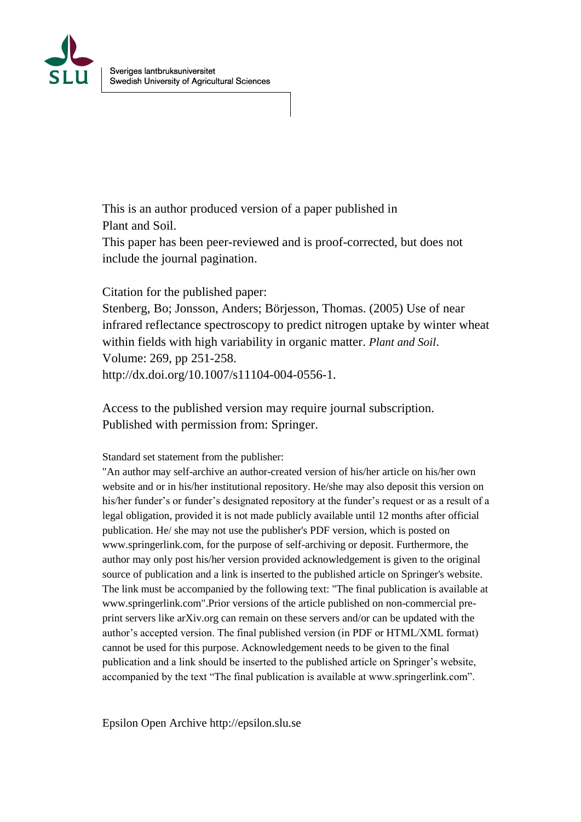

This is an author produced version of a paper published in Plant and Soil.

This paper has been peer-reviewed and is proof-corrected, but does not include the journal pagination.

Citation for the published paper:

Stenberg, Bo; Jonsson, Anders; Börjesson, Thomas. (2005) Use of near infrared reflectance spectroscopy to predict nitrogen uptake by winter wheat within fields with high variability in organic matter. *Plant and Soil*. Volume: 269, pp 251-258. http://dx.doi.org/10.1007/s11104-004-0556-1.

Access to the published version may require journal subscription. Published with permission from: Springer.

Standard set statement from the publisher:

"An author may self-archive an author-created version of his/her article on his/her own website and or in his/her institutional repository. He/she may also deposit this version on his/her funder's or funder's designated repository at the funder's request or as a result of a legal obligation, provided it is not made publicly available until 12 months after official publication. He/ she may not use the publisher's PDF version, which is posted on www.springerlink.com, for the purpose of self-archiving or deposit. Furthermore, the author may only post his/her version provided acknowledgement is given to the original source of publication and a link is inserted to the published article on Springer's website. The link must be accompanied by the following text: "The final publication is available at www.springerlink.com".Prior versions of the article published on non-commercial preprint servers like arXiv.org can remain on these servers and/or can be updated with the author's accepted version. The final published version (in PDF or HTML/XML format) cannot be used for this purpose. Acknowledgement needs to be given to the final publication and a link should be inserted to the published article on Springer's website, accompanied by the text "The final publication is available at www.springerlink.com".

Epsilon Open Archive http://epsilon.slu.se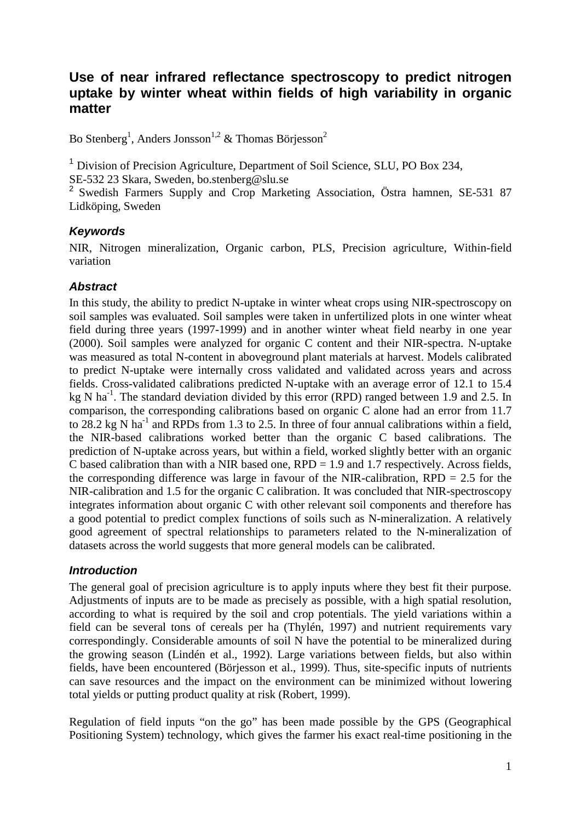# **Use of near infrared reflectance spectroscopy to predict nitrogen uptake by winter wheat within fields of high variability in organic matter**

Bo Stenberg<sup>1</sup>, Anders Jonsson<sup>1,2</sup> & Thomas Börjesson<sup>2</sup>

<sup>1</sup> Division of Precision Agriculture, Department of Soil Science, SLU, PO Box 234, SE-532 23 Skara, Sweden, bo.stenberg@slu.se

<sup>2</sup> Swedish Farmers Supply and Crop Marketing Association, Östra hamnen, SE-531 87 Lidköping, Sweden

# *Keywords*

NIR, Nitrogen mineralization, Organic carbon, PLS, Precision agriculture, Within-field variation

# *Abstract*

In this study, the ability to predict N-uptake in winter wheat crops using NIR-spectroscopy on soil samples was evaluated. Soil samples were taken in unfertilized plots in one winter wheat field during three years (1997-1999) and in another winter wheat field nearby in one year (2000). Soil samples were analyzed for organic C content and their NIR-spectra. N-uptake was measured as total N-content in aboveground plant materials at harvest. Models calibrated to predict N-uptake were internally cross validated and validated across years and across fields. Cross-validated calibrations predicted N-uptake with an average error of 12.1 to 15.4 kg N ha<sup>-1</sup>. The standard deviation divided by this error (RPD) ranged between 1.9 and 2.5. In comparison, the corresponding calibrations based on organic C alone had an error from 11.7 to  $28.2 \text{ kg N}$  ha<sup>-1</sup> and RPDs from 1.3 to 2.5. In three of four annual calibrations within a field, the NIR-based calibrations worked better than the organic C based calibrations. The prediction of N-uptake across years, but within a field, worked slightly better with an organic C based calibration than with a NIR based one,  $RPD = 1.9$  and 1.7 respectively. Across fields, the corresponding difference was large in favour of the NIR-calibration,  $RPD = 2.5$  for the NIR-calibration and 1.5 for the organic C calibration. It was concluded that NIR-spectroscopy integrates information about organic C with other relevant soil components and therefore has a good potential to predict complex functions of soils such as N-mineralization. A relatively good agreement of spectral relationships to parameters related to the N-mineralization of datasets across the world suggests that more general models can be calibrated.

# *Introduction*

The general goal of precision agriculture is to apply inputs where they best fit their purpose. Adjustments of inputs are to be made as precisely as possible, with a high spatial resolution, according to what is required by the soil and crop potentials. The yield variations within a field can be several tons of cereals per ha (Thylén, 1997) and nutrient requirements vary correspondingly. Considerable amounts of soil N have the potential to be mineralized during the growing season (Lindén et al., 1992). Large variations between fields, but also within fields, have been encountered (Börjesson et al., 1999). Thus, site-specific inputs of nutrients can save resources and the impact on the environment can be minimized without lowering total yields or putting product quality at risk (Robert, 1999).

Regulation of field inputs "on the go" has been made possible by the GPS (Geographical Positioning System) technology, which gives the farmer his exact real-time positioning in the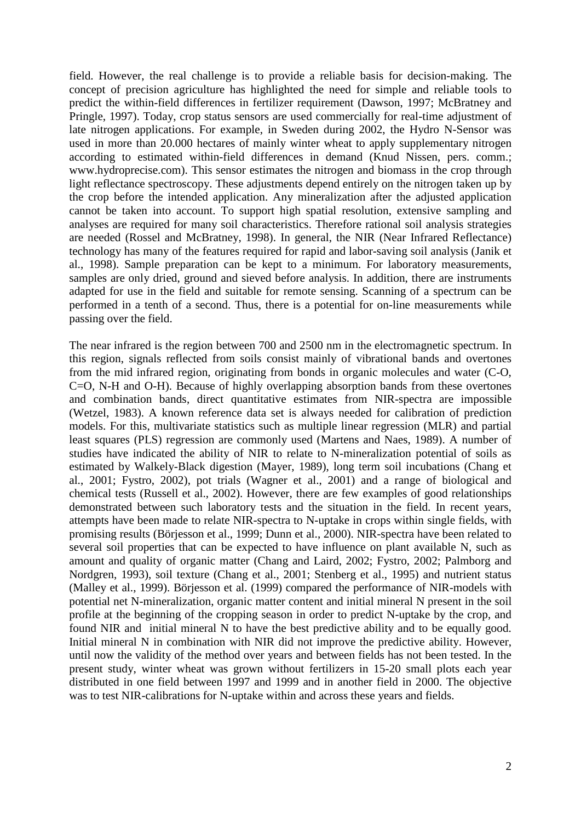field. However, the real challenge is to provide a reliable basis for decision-making. The concept of precision agriculture has highlighted the need for simple and reliable tools to predict the within-field differences in fertilizer requirement (Dawson, 1997; McBratney and Pringle, 1997). Today, crop status sensors are used commercially for real-time adjustment of late nitrogen applications. For example, in Sweden during 2002, the Hydro N-Sensor was used in more than 20.000 hectares of mainly winter wheat to apply supplementary nitrogen according to estimated within-field differences in demand (Knud Nissen, pers. comm.; www.hydroprecise.com). This sensor estimates the nitrogen and biomass in the crop through light reflectance spectroscopy. These adjustments depend entirely on the nitrogen taken up by the crop before the intended application. Any mineralization after the adjusted application cannot be taken into account. To support high spatial resolution, extensive sampling and analyses are required for many soil characteristics. Therefore rational soil analysis strategies are needed (Rossel and McBratney, 1998). In general, the NIR (Near Infrared Reflectance) technology has many of the features required for rapid and labor-saving soil analysis (Janik et al., 1998). Sample preparation can be kept to a minimum. For laboratory measurements, samples are only dried, ground and sieved before analysis. In addition, there are instruments adapted for use in the field and suitable for remote sensing. Scanning of a spectrum can be performed in a tenth of a second. Thus, there is a potential for on-line measurements while passing over the field.

The near infrared is the region between 700 and 2500 nm in the electromagnetic spectrum. In this region, signals reflected from soils consist mainly of vibrational bands and overtones from the mid infrared region, originating from bonds in organic molecules and water (C-O, C=O, N-H and O-H). Because of highly overlapping absorption bands from these overtones and combination bands, direct quantitative estimates from NIR-spectra are impossible (Wetzel, 1983). A known reference data set is always needed for calibration of prediction models. For this, multivariate statistics such as multiple linear regression (MLR) and partial least squares (PLS) regression are commonly used (Martens and Naes, 1989). A number of studies have indicated the ability of NIR to relate to N-mineralization potential of soils as estimated by Walkely-Black digestion (Mayer, 1989), long term soil incubations (Chang et al., 2001; Fystro, 2002), pot trials (Wagner et al., 2001) and a range of biological and chemical tests (Russell et al., 2002). However, there are few examples of good relationships demonstrated between such laboratory tests and the situation in the field. In recent years, attempts have been made to relate NIR-spectra to N-uptake in crops within single fields, with promising results (Börjesson et al., 1999; Dunn et al., 2000). NIR-spectra have been related to several soil properties that can be expected to have influence on plant available N, such as amount and quality of organic matter (Chang and Laird, 2002; Fystro, 2002; Palmborg and Nordgren, 1993), soil texture (Chang et al., 2001; Stenberg et al., 1995) and nutrient status (Malley et al., 1999). Börjesson et al. (1999) compared the performance of NIR-models with potential net N-mineralization, organic matter content and initial mineral N present in the soil profile at the beginning of the cropping season in order to predict N-uptake by the crop, and found NIR and initial mineral N to have the best predictive ability and to be equally good. Initial mineral N in combination with NIR did not improve the predictive ability. However, until now the validity of the method over years and between fields has not been tested. In the present study, winter wheat was grown without fertilizers in 15-20 small plots each year distributed in one field between 1997 and 1999 and in another field in 2000. The objective was to test NIR-calibrations for N-uptake within and across these years and fields.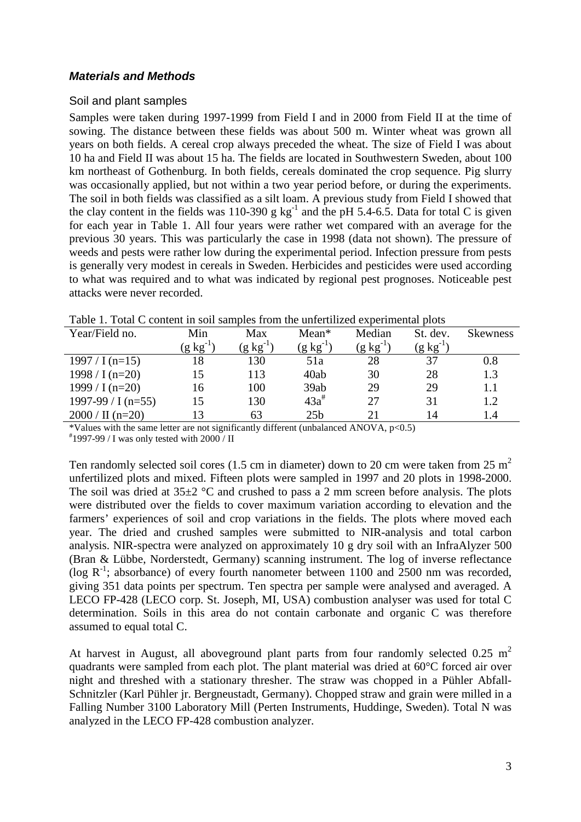#### *Materials and Methods*

#### Soil and plant samples

Samples were taken during 1997-1999 from Field I and in 2000 from Field II at the time of sowing. The distance between these fields was about 500 m. Winter wheat was grown all years on both fields. A cereal crop always preceded the wheat. The size of Field I was about 10 ha and Field II was about 15 ha. The fields are located in Southwestern Sweden, about 100 km northeast of Gothenburg. In both fields, cereals dominated the crop sequence. Pig slurry was occasionally applied, but not within a two year period before, or during the experiments. The soil in both fields was classified as a silt loam. A previous study from Field I showed that the clay content in the fields was 110-390 g kg<sup>-1</sup> and the pH 5.4-6.5. Data for total C is given for each year in Table 1. All four years were rather wet compared with an average for the previous 30 years. This was particularly the case in 1998 (data not shown). The pressure of weeds and pests were rather low during the experimental period. Infection pressure from pests is generally very modest in cereals in Sweden. Herbicides and pesticides were used according to what was required and to what was indicated by regional pest prognoses. Noticeable pest attacks were never recorded.

| Year/Field no.            | Min                   | Max             | $Mean*$         | Median        | St. dev.              | <b>Skewness</b> |
|---------------------------|-----------------------|-----------------|-----------------|---------------|-----------------------|-----------------|
|                           | $(g \text{ kg}^{-1})$ | $(g \ kg^{-1})$ | $(g \ kg^{-1})$ | $(g kg^{-1})$ | $(g \text{ kg}^{-1})$ |                 |
| $1997 / I (n=15)$         | 18                    | 130             | 51a             | 28            | 37                    | 0.8             |
| 1998 / I (n=20)           | 15                    | 113             | 40ab            | 30            | 28                    | 1.3             |
| 1999 / I $(n=20)$         | 16                    | 100             | 39ab            | 29            | 29                    | 1.1             |
| 1997-99 / I (n=55)        | 15                    | 130             | $43a^{\#}$      | 27            | 31                    | 1.2             |
| $2000 / \text{II}$ (n=20) | 13                    | 63              | 25 <sub>b</sub> | 21            | 14                    | 1.4             |

Table 1. Total C content in soil samples from the unfertilized experimental plots

\*Values with the same letter are not significantly different (unbalanced ANOVA, p<0.5)

# 1997-99 / I was only tested with 2000 / II

Ten randomly selected soil cores (1.5 cm in diameter) down to 20 cm were taken from 25  $m<sup>2</sup>$ unfertilized plots and mixed. Fifteen plots were sampled in 1997 and 20 plots in 1998-2000. The soil was dried at  $35\pm2$  °C and crushed to pass a 2 mm screen before analysis. The plots were distributed over the fields to cover maximum variation according to elevation and the farmers' experiences of soil and crop variations in the fields. The plots where moved each year. The dried and crushed samples were submitted to NIR-analysis and total carbon analysis. NIR-spectra were analyzed on approximately 10 g dry soil with an InfraAlyzer 500 (Bran & Lübbe, Norderstedt, Germany) scanning instrument. The log of inverse reflectance ( $\log R^{-1}$ ; absorbance) of every fourth nanometer between 1100 and 2500 nm was recorded, giving 351 data points per spectrum. Ten spectra per sample were analysed and averaged. A LECO FP-428 (LECO corp. St. Joseph, MI, USA) combustion analyser was used for total C determination. Soils in this area do not contain carbonate and organic C was therefore assumed to equal total C.

At harvest in August, all aboveground plant parts from four randomly selected 0.25  $m<sup>2</sup>$ quadrants were sampled from each plot. The plant material was dried at 60°C forced air over night and threshed with a stationary thresher. The straw was chopped in a Pühler Abfall-Schnitzler (Karl Pühler jr. Bergneustadt, Germany). Chopped straw and grain were milled in a Falling Number 3100 Laboratory Mill (Perten Instruments, Huddinge, Sweden). Total N was analyzed in the LECO FP-428 combustion analyzer.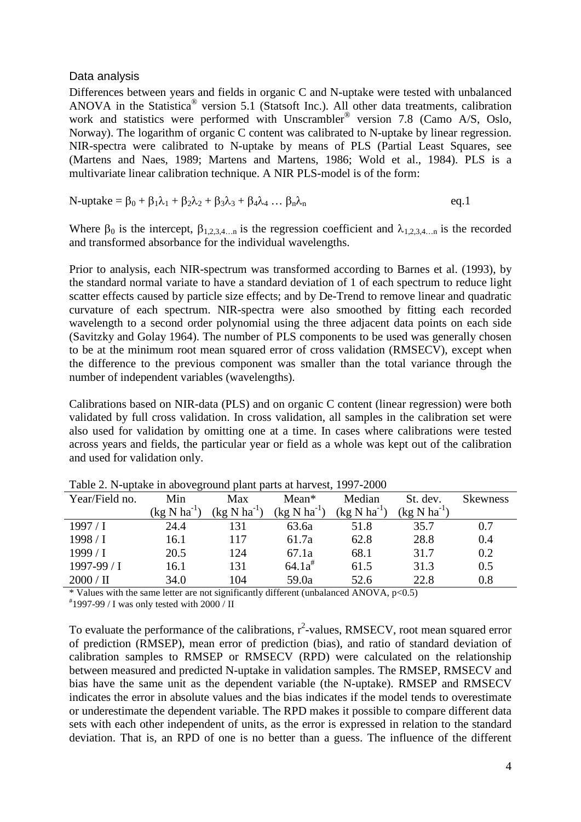#### Data analysis

Differences between years and fields in organic C and N-uptake were tested with unbalanced ANOVA in the Statistica® version 5.1 (Statsoft Inc.). All other data treatments, calibration work and statistics were performed with Unscrambler® version 7.8 (Camo A/S, Oslo, Norway). The logarithm of organic C content was calibrated to N-uptake by linear regression. NIR-spectra were calibrated to N-uptake by means of PLS (Partial Least Squares, see (Martens and Naes, 1989; Martens and Martens, 1986; Wold et al., 1984). PLS is a multivariate linear calibration technique. A NIR PLS-model is of the form:

N-uptake =  $\beta_0 + \beta_1 \lambda_1 + \beta_2 \lambda_2 + \beta_3 \lambda_3 + \beta_4 \lambda_4 \ldots \beta_n \lambda_n$  eq.1

Where  $\beta_0$  is the intercept,  $\beta_{1,2,3,4,...n}$  is the regression coefficient and  $\lambda_{1,2,3,4,...n}$  is the recorded and transformed absorbance for the individual wavelengths.

Prior to analysis, each NIR-spectrum was transformed according to Barnes et al. (1993), by the standard normal variate to have a standard deviation of 1 of each spectrum to reduce light scatter effects caused by particle size effects; and by De-Trend to remove linear and quadratic curvature of each spectrum. NIR-spectra were also smoothed by fitting each recorded wavelength to a second order polynomial using the three adjacent data points on each side (Savitzky and Golay 1964). The number of PLS components to be used was generally chosen to be at the minimum root mean squared error of cross validation (RMSECV), except when the difference to the previous component was smaller than the total variance through the number of independent variables (wavelengths).

Calibrations based on NIR-data (PLS) and on organic C content (linear regression) were both validated by full cross validation. In cross validation, all samples in the calibration set were also used for validation by omitting one at a time. In cases where calibrations were tested across years and fields, the particular year or field as a whole was kept out of the calibration and used for validation only.

| Year/Field no.     | Min                                | Max                   | $Mean*$                          | Median                           | St. dev.         | <b>Skewness</b> |
|--------------------|------------------------------------|-----------------------|----------------------------------|----------------------------------|------------------|-----------------|
|                    | $\left(\text{kg N ha}^{-1}\right)$ | (kg N ha <sup>-</sup> | $(kg \text{ N} \text{ ha}^{-1})$ | $(kg \text{ N} \text{ ha}^{-1})$ | $(kg N ha^{-1})$ |                 |
| 1997/1             | 24.4                               | 131                   | 63.6a                            | 51.8                             | 35.7             | 0.7             |
| 1998 / I           | 16.1                               | 117                   | 61.7a                            | 62.8                             | 28.8             | 0.4             |
| 1999/1             | 20.5                               | 124                   | 67.1a                            | 68.1                             | 31.7             | 0.2             |
| $1997-99/1$        | 16.1                               | 131                   | $64.1a^*$                        | 61.5                             | 31.3             | 0.5             |
| $2000 / \text{II}$ | 34.0                               | 104                   | 59.0a                            | 52.6                             | 22.8             | 0.8             |
|                    |                                    |                       |                                  |                                  |                  |                 |

Table 2. N-uptake in aboveground plant parts at harvest, 1997-2000

 $*$  Values with the same letter are not significantly different (unbalanced ANOVA,  $p<0.5$ )

 $*$ 1997-99 / I was only tested with 2000 / II

To evaluate the performance of the calibrations,  $r^2$ -values, RMSECV, root mean squared error of prediction (RMSEP), mean error of prediction (bias), and ratio of standard deviation of calibration samples to RMSEP or RMSECV (RPD) were calculated on the relationship between measured and predicted N-uptake in validation samples. The RMSEP, RMSECV and bias have the same unit as the dependent variable (the N-uptake). RMSEP and RMSECV indicates the error in absolute values and the bias indicates if the model tends to overestimate or underestimate the dependent variable. The RPD makes it possible to compare different data sets with each other independent of units, as the error is expressed in relation to the standard deviation. That is, an RPD of one is no better than a guess. The influence of the different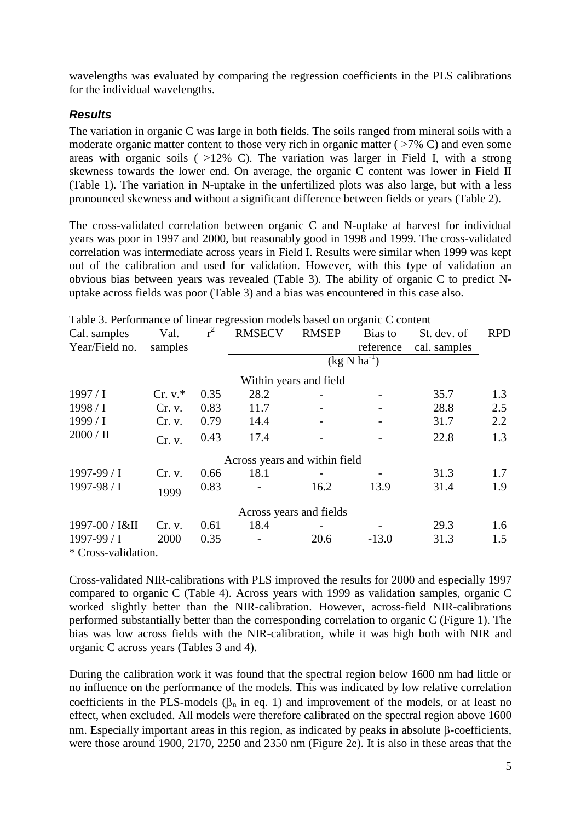wavelengths was evaluated by comparing the regression coefficients in the PLS calibrations for the individual wavelengths.

# *Results*

The variation in organic C was large in both fields. The soils ranged from mineral soils with a moderate organic matter content to those very rich in organic matter ( $>7\%$  C) and even some areas with organic soils  $($  >12% C). The variation was larger in Field I, with a strong skewness towards the lower end. On average, the organic C content was lower in Field II (Table 1). The variation in N-uptake in the unfertilized plots was also large, but with a less pronounced skewness and without a significant difference between fields or years (Table 2).

The cross-validated correlation between organic C and N-uptake at harvest for individual years was poor in 1997 and 2000, but reasonably good in 1998 and 1999. The cross-validated correlation was intermediate across years in Field I. Results were similar when 1999 was kept out of the calibration and used for validation. However, with this type of validation an obvious bias between years was revealed (Table 3). The ability of organic C to predict Nuptake across fields was poor (Table 3) and a bias was encountered in this case also.

| Cal. samples                  | Val.      | ັ    | <b>RMSECV</b>                    | <b>RMSEP</b> | Bias to   | St. dev. of  | <b>RPD</b> |  |  |  |
|-------------------------------|-----------|------|----------------------------------|--------------|-----------|--------------|------------|--|--|--|
| Year/Field no.                | samples   |      |                                  |              | reference | cal. samples |            |  |  |  |
|                               |           |      | $(kg \text{ N} \text{ ha}^{-1})$ |              |           |              |            |  |  |  |
| Within years and field        |           |      |                                  |              |           |              |            |  |  |  |
| $1997/$ I                     | $Cr. v.*$ | 0.35 | 28.2                             |              |           | 35.7         | 1.3        |  |  |  |
| 1998 / I                      | Cr. v.    | 0.83 | 11.7                             |              |           | 28.8         | 2.5        |  |  |  |
| 1999/1                        | Cr. v.    | 0.79 | 14.4                             |              |           | 31.7         | 2.2        |  |  |  |
| $2000 / \text{II}$            | Cr. v.    | 0.43 | 17.4                             |              |           | 22.8         | 1.3        |  |  |  |
| Across years and within field |           |      |                                  |              |           |              |            |  |  |  |
| 1997-99 / I                   | Cr. v.    | 0.66 | 18.1                             |              |           | 31.3         | 1.7        |  |  |  |
| $1997 - 98 / I$               | 1999      | 0.83 |                                  | 16.2         | 13.9      | 31.4         | 1.9        |  |  |  |
| Across years and fields       |           |      |                                  |              |           |              |            |  |  |  |
| 1997-00 / I&II                | Cr. v.    | 0.61 | 18.4                             |              |           | 29.3         | 1.6        |  |  |  |
| $1997 - 99 / I$               | 2000      | 0.35 |                                  | 20.6         | $-13.0$   | 31.3         | 1.5        |  |  |  |

Table 3. Performance of linear regression models based on organic C content

\* Cross-validation.

Cross-validated NIR-calibrations with PLS improved the results for 2000 and especially 1997 compared to organic C (Table 4). Across years with 1999 as validation samples, organic C worked slightly better than the NIR-calibration. However, across-field NIR-calibrations performed substantially better than the corresponding correlation to organic C (Figure 1). The bias was low across fields with the NIR-calibration, while it was high both with NIR and organic C across years (Tables 3 and 4).

During the calibration work it was found that the spectral region below 1600 nm had little or no influence on the performance of the models. This was indicated by low relative correlation coefficients in the PLS-models ( $\beta_n$  in eq. 1) and improvement of the models, or at least no effect, when excluded. All models were therefore calibrated on the spectral region above 1600 nm. Especially important areas in this region, as indicated by peaks in absolute β-coefficients, were those around 1900, 2170, 2250 and 2350 nm (Figure 2e). It is also in these areas that the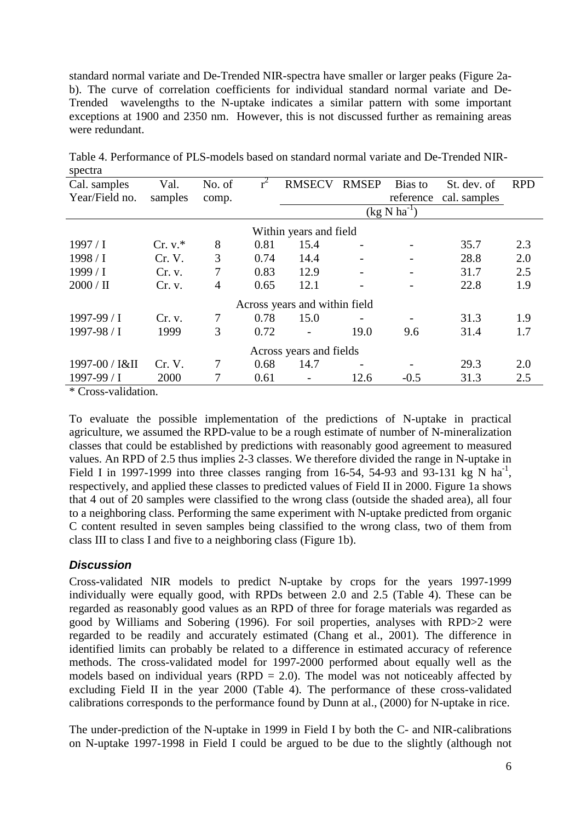standard normal variate and De-Trended NIR-spectra have smaller or larger peaks (Figure 2ab). The curve of correlation coefficients for individual standard normal variate and De-Trended wavelengths to the N-uptake indicates a similar pattern with some important exceptions at 1900 and 2350 nm. However, this is not discussed further as remaining areas were redundant.

| 500                           |           |        |      |                                  |              |           |              |            |  |  |
|-------------------------------|-----------|--------|------|----------------------------------|--------------|-----------|--------------|------------|--|--|
| Cal. samples                  | Val.      | No. of |      | <b>RMSECV</b>                    | <b>RMSEP</b> | Bias to   | St. dev. of  | <b>RPD</b> |  |  |
| Year/Field no.                | samples   | comp.  |      |                                  |              | reference | cal. samples |            |  |  |
|                               |           |        |      | $(kg \text{ N} \text{ ha}^{-1})$ |              |           |              |            |  |  |
| Within years and field        |           |        |      |                                  |              |           |              |            |  |  |
| $1997/$ I                     | $Cr. v.*$ | 8      | 0.81 | 15.4                             |              |           | 35.7         | 2.3        |  |  |
| 1998 / I                      | Cr. V.    | 3      | 0.74 | 14.4                             | -            | -         | 28.8         | 2.0        |  |  |
| 1999/1                        | Cr. v.    | 7      | 0.83 | 12.9                             |              |           | 31.7         | 2.5        |  |  |
| $2000 / \text{II}$            | Cr. v.    | 4      | 0.65 | 12.1                             |              |           | 22.8         | 1.9        |  |  |
| Across years and within field |           |        |      |                                  |              |           |              |            |  |  |
| $1997-99/1$                   | Cr. v.    | 7      | 0.78 | 15.0                             |              |           | 31.3         | 1.9        |  |  |
| $1997 - 98 / I$               | 1999      | 3      | 0.72 |                                  | 19.0         | 9.6       | 31.4         | 1.7        |  |  |
| Across years and fields       |           |        |      |                                  |              |           |              |            |  |  |
| 1997-00 / I&II                | Cr. V.    | 7      | 0.68 | 14.7                             |              |           | 29.3         | 2.0        |  |  |
| $1997-99/1$                   | 2000      | 7      | 0.61 |                                  | 12.6         | $-0.5$    | 31.3         | 2.5        |  |  |
|                               |           |        |      |                                  |              |           |              |            |  |  |

Table 4. Performance of PLS-models based on standard normal variate and De-Trended NIRspectra

\* Cross-validation.

To evaluate the possible implementation of the predictions of N-uptake in practical agriculture, we assumed the RPD-value to be a rough estimate of number of N-mineralization classes that could be established by predictions with reasonably good agreement to measured values. An RPD of 2.5 thus implies 2-3 classes. We therefore divided the range in N-uptake in Field I in 1997-1999 into three classes ranging from 16-54, 54-93 and 93-131 kg N ha<sup>-1</sup>, respectively, and applied these classes to predicted values of Field II in 2000. Figure 1a shows that 4 out of 20 samples were classified to the wrong class (outside the shaded area), all four to a neighboring class. Performing the same experiment with N-uptake predicted from organic C content resulted in seven samples being classified to the wrong class, two of them from class III to class I and five to a neighboring class (Figure 1b).

# *Discussion*

Cross-validated NIR models to predict N-uptake by crops for the years 1997-1999 individually were equally good, with RPDs between 2.0 and 2.5 (Table 4). These can be regarded as reasonably good values as an RPD of three for forage materials was regarded as good by Williams and Sobering (1996). For soil properties, analyses with RPD>2 were regarded to be readily and accurately estimated (Chang et al., 2001). The difference in identified limits can probably be related to a difference in estimated accuracy of reference methods. The cross-validated model for 1997-2000 performed about equally well as the models based on individual years (RPD  $= 2.0$ ). The model was not noticeably affected by excluding Field II in the year 2000 (Table 4). The performance of these cross-validated calibrations corresponds to the performance found by Dunn at al., (2000) for N-uptake in rice.

The under-prediction of the N-uptake in 1999 in Field I by both the C- and NIR-calibrations on N-uptake 1997-1998 in Field I could be argued to be due to the slightly (although not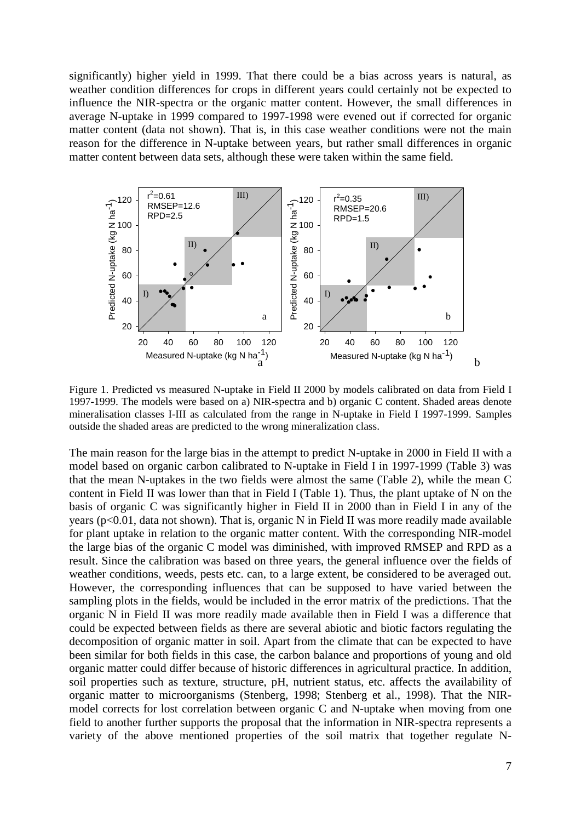significantly) higher yield in 1999. That there could be a bias across years is natural, as weather condition differences for crops in different years could certainly not be expected to influence the NIR-spectra or the organic matter content. However, the small differences in average N-uptake in 1999 compared to 1997-1998 were evened out if corrected for organic matter content (data not shown). That is, in this case weather conditions were not the main reason for the difference in N-uptake between years, but rather small differences in organic matter content between data sets, although these were taken within the same field.



Figure 1. Predicted vs measured N-uptake in Field II 2000 by models calibrated on data from Field I 1997-1999. The models were based on a) NIR-spectra and b) organic C content. Shaded areas denote mineralisation classes I-III as calculated from the range in N-uptake in Field I 1997-1999. Samples outside the shaded areas are predicted to the wrong mineralization class.

The main reason for the large bias in the attempt to predict N-uptake in 2000 in Field II with a model based on organic carbon calibrated to N-uptake in Field I in 1997-1999 (Table 3) was that the mean N-uptakes in the two fields were almost the same (Table 2), while the mean C content in Field II was lower than that in Field I (Table 1). Thus, the plant uptake of N on the basis of organic C was significantly higher in Field II in 2000 than in Field I in any of the years (p<0.01, data not shown). That is, organic N in Field II was more readily made available for plant uptake in relation to the organic matter content. With the corresponding NIR-model the large bias of the organic C model was diminished, with improved RMSEP and RPD as a result. Since the calibration was based on three years, the general influence over the fields of weather conditions, weeds, pests etc. can, to a large extent, be considered to be averaged out. However, the corresponding influences that can be supposed to have varied between the sampling plots in the fields, would be included in the error matrix of the predictions. That the organic N in Field II was more readily made available then in Field I was a difference that could be expected between fields as there are several abiotic and biotic factors regulating the decomposition of organic matter in soil. Apart from the climate that can be expected to have been similar for both fields in this case, the carbon balance and proportions of young and old organic matter could differ because of historic differences in agricultural practice. In addition, soil properties such as texture, structure, pH, nutrient status, etc. affects the availability of organic matter to microorganisms (Stenberg, 1998; Stenberg et al., 1998). That the NIRmodel corrects for lost correlation between organic C and N-uptake when moving from one field to another further supports the proposal that the information in NIR-spectra represents a variety of the above mentioned properties of the soil matrix that together regulate N-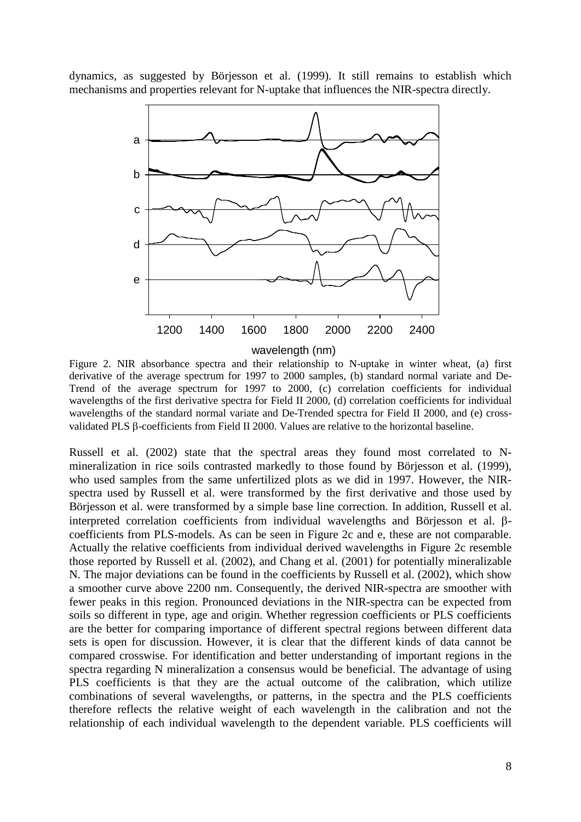dynamics, as suggested by Börjesson et al. (1999). It still remains to establish which mechanisms and properties relevant for N-uptake that influences the NIR-spectra directly.



wavelength (nm)

Figure 2. NIR absorbance spectra and their relationship to N-uptake in winter wheat, (a) first derivative of the average spectrum for 1997 to 2000 samples, (b) standard normal variate and De-Trend of the average spectrum for 1997 to 2000, (c) correlation coefficients for individual wavelengths of the first derivative spectra for Field II 2000, (d) correlation coefficients for individual wavelengths of the standard normal variate and De-Trended spectra for Field II 2000, and (e) crossvalidated PLS β-coefficients from Field II 2000. Values are relative to the horizontal baseline.

Russell et al. (2002) state that the spectral areas they found most correlated to Nmineralization in rice soils contrasted markedly to those found by Börjesson et al. (1999), who used samples from the same unfertilized plots as we did in 1997. However, the NIRspectra used by Russell et al. were transformed by the first derivative and those used by Börjesson et al. were transformed by a simple base line correction. In addition, Russell et al. interpreted correlation coefficients from individual wavelengths and Börjesson et al. βcoefficients from PLS-models. As can be seen in Figure 2c and e, these are not comparable. Actually the relative coefficients from individual derived wavelengths in Figure 2c resemble those reported by Russell et al. (2002), and Chang et al. (2001) for potentially mineralizable N. The major deviations can be found in the coefficients by Russell et al. (2002), which show a smoother curve above 2200 nm. Consequently, the derived NIR-spectra are smoother with fewer peaks in this region. Pronounced deviations in the NIR-spectra can be expected from soils so different in type, age and origin. Whether regression coefficients or PLS coefficients are the better for comparing importance of different spectral regions between different data sets is open for discussion. However, it is clear that the different kinds of data cannot be compared crosswise. For identification and better understanding of important regions in the spectra regarding N mineralization a consensus would be beneficial. The advantage of using PLS coefficients is that they are the actual outcome of the calibration, which utilize combinations of several wavelengths, or patterns, in the spectra and the PLS coefficients therefore reflects the relative weight of each wavelength in the calibration and not the relationship of each individual wavelength to the dependent variable. PLS coefficients will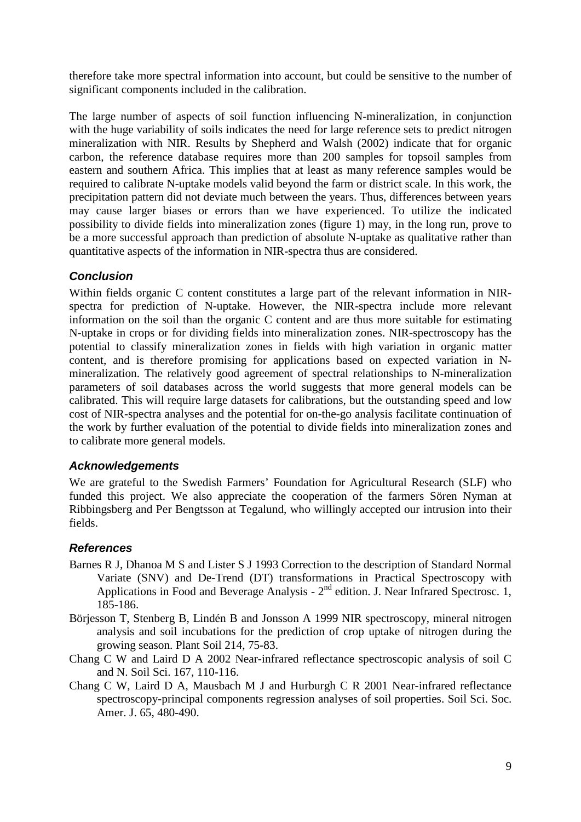therefore take more spectral information into account, but could be sensitive to the number of significant components included in the calibration.

The large number of aspects of soil function influencing N-mineralization, in conjunction with the huge variability of soils indicates the need for large reference sets to predict nitrogen mineralization with NIR. Results by Shepherd and Walsh (2002) indicate that for organic carbon, the reference database requires more than 200 samples for topsoil samples from eastern and southern Africa. This implies that at least as many reference samples would be required to calibrate N-uptake models valid beyond the farm or district scale. In this work, the precipitation pattern did not deviate much between the years. Thus, differences between years may cause larger biases or errors than we have experienced. To utilize the indicated possibility to divide fields into mineralization zones (figure 1) may, in the long run, prove to be a more successful approach than prediction of absolute N-uptake as qualitative rather than quantitative aspects of the information in NIR-spectra thus are considered.

# *Conclusion*

Within fields organic C content constitutes a large part of the relevant information in NIRspectra for prediction of N-uptake. However, the NIR-spectra include more relevant information on the soil than the organic C content and are thus more suitable for estimating N-uptake in crops or for dividing fields into mineralization zones. NIR-spectroscopy has the potential to classify mineralization zones in fields with high variation in organic matter content, and is therefore promising for applications based on expected variation in Nmineralization. The relatively good agreement of spectral relationships to N-mineralization parameters of soil databases across the world suggests that more general models can be calibrated. This will require large datasets for calibrations, but the outstanding speed and low cost of NIR-spectra analyses and the potential for on-the-go analysis facilitate continuation of the work by further evaluation of the potential to divide fields into mineralization zones and to calibrate more general models.

# *Acknowledgements*

We are grateful to the Swedish Farmers' Foundation for Agricultural Research (SLF) who funded this project. We also appreciate the cooperation of the farmers Sören Nyman at Ribbingsberg and Per Bengtsson at Tegalund, who willingly accepted our intrusion into their fields.

# *References*

- Barnes R J, Dhanoa M S and Lister S J 1993 Correction to the description of Standard Normal Variate (SNV) and De-Trend (DT) transformations in Practical Spectroscopy with Applications in Food and Beverage Analysis -  $2<sup>nd</sup>$  edition. J. Near Infrared Spectrosc. 1, 185-186.
- Börjesson T, Stenberg B, Lindén B and Jonsson A 1999 NIR spectroscopy, mineral nitrogen analysis and soil incubations for the prediction of crop uptake of nitrogen during the growing season. Plant Soil 214, 75-83.
- Chang C W and Laird D A 2002 Near-infrared reflectance spectroscopic analysis of soil C and N. Soil Sci. 167, 110-116.
- Chang C W, Laird D A, Mausbach M J and Hurburgh C R 2001 Near-infrared reflectance spectroscopy-principal components regression analyses of soil properties. Soil Sci. Soc. Amer. J. 65, 480-490.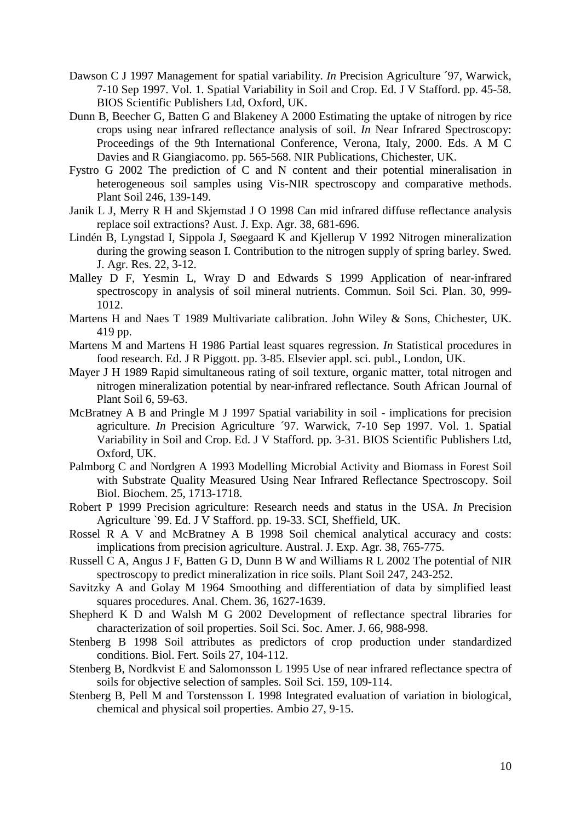- Dawson C J 1997 Management for spatial variability. *In* Precision Agriculture ´97, Warwick, 7-10 Sep 1997. Vol. 1. Spatial Variability in Soil and Crop. Ed. J V Stafford. pp. 45-58. BIOS Scientific Publishers Ltd, Oxford, UK.
- Dunn B, Beecher G, Batten G and Blakeney A 2000 Estimating the uptake of nitrogen by rice crops using near infrared reflectance analysis of soil. *In* Near Infrared Spectroscopy: Proceedings of the 9th International Conference, Verona, Italy, 2000. Eds. A M C Davies and R Giangiacomo. pp. 565-568. NIR Publications, Chichester, UK.
- Fystro G 2002 The prediction of C and N content and their potential mineralisation in heterogeneous soil samples using Vis-NIR spectroscopy and comparative methods. Plant Soil 246, 139-149.
- Janik L J, Merry R H and Skjemstad J O 1998 Can mid infrared diffuse reflectance analysis replace soil extractions? Aust. J. Exp. Agr. 38, 681-696.
- Lindén B, Lyngstad I, Sippola J, Søegaard K and Kjellerup V 1992 Nitrogen mineralization during the growing season I. Contribution to the nitrogen supply of spring barley. Swed. J. Agr. Res. 22, 3-12.
- Malley D F, Yesmin L, Wray D and Edwards S 1999 Application of near-infrared spectroscopy in analysis of soil mineral nutrients. Commun. Soil Sci. Plan. 30, 999- 1012.
- Martens H and Naes T 1989 Multivariate calibration. John Wiley & Sons, Chichester, UK. 419 pp.
- Martens M and Martens H 1986 Partial least squares regression. *In* Statistical procedures in food research. Ed. J R Piggott. pp. 3-85. Elsevier appl. sci. publ., London, UK.
- Mayer J H 1989 Rapid simultaneous rating of soil texture, organic matter, total nitrogen and nitrogen mineralization potential by near-infrared reflectance. South African Journal of Plant Soil 6, 59-63.
- McBratney A B and Pringle M J 1997 Spatial variability in soil implications for precision agriculture. *In* Precision Agriculture ´97. Warwick, 7-10 Sep 1997. Vol. 1. Spatial Variability in Soil and Crop. Ed. J V Stafford. pp. 3-31. BIOS Scientific Publishers Ltd, Oxford, UK.
- Palmborg C and Nordgren A 1993 Modelling Microbial Activity and Biomass in Forest Soil with Substrate Quality Measured Using Near Infrared Reflectance Spectroscopy. Soil Biol. Biochem. 25, 1713-1718.
- Robert P 1999 Precision agriculture: Research needs and status in the USA. *In* Precision Agriculture `99. Ed. J V Stafford. pp. 19-33. SCI, Sheffield, UK.
- Rossel R A V and McBratney A B 1998 Soil chemical analytical accuracy and costs: implications from precision agriculture. Austral. J. Exp. Agr. 38, 765-775.
- Russell C A, Angus J F, Batten G D, Dunn B W and Williams R L 2002 The potential of NIR spectroscopy to predict mineralization in rice soils. Plant Soil 247, 243-252.
- Savitzky A and Golay M 1964 Smoothing and differentiation of data by simplified least squares procedures. Anal. Chem. 36, 1627-1639.
- Shepherd K D and Walsh M G 2002 Development of reflectance spectral libraries for characterization of soil properties. Soil Sci. Soc. Amer. J. 66, 988-998.
- Stenberg B 1998 Soil attributes as predictors of crop production under standardized conditions. Biol. Fert. Soils 27, 104-112.
- Stenberg B, Nordkvist E and Salomonsson L 1995 Use of near infrared reflectance spectra of soils for objective selection of samples. Soil Sci. 159, 109-114.
- Stenberg B, Pell M and Torstensson L 1998 Integrated evaluation of variation in biological, chemical and physical soil properties. Ambio 27, 9-15.